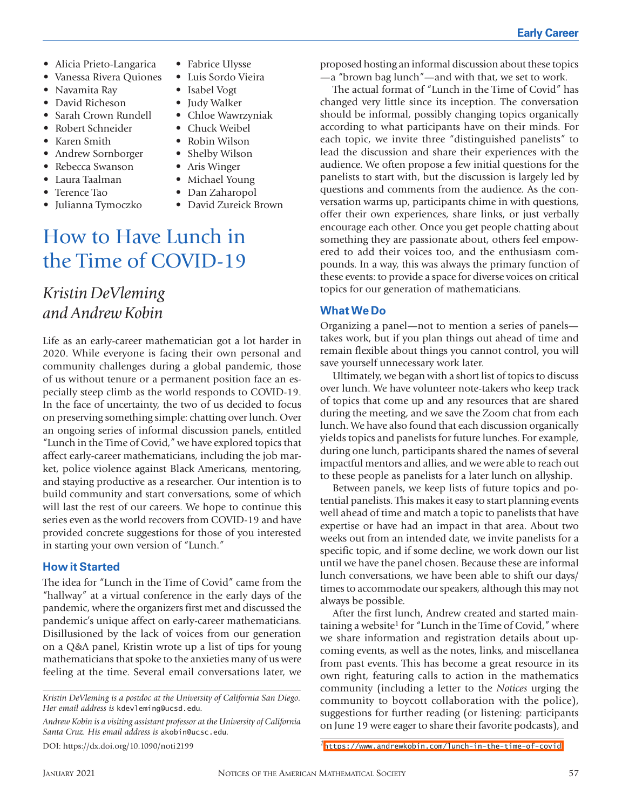- Alicia Prieto-Langarica
- Vanessa Rivera Quiones
- Navamita Ray
- David Richeson
- Sarah Crown Rundell
- Robert Schneider
- Karen Smith
- Andrew Sornborger
- Rebecca Swanson
- Laura Taalman
- Terence Tao
- Julianna Tymoczko
- Fabrice Ulysse
- Luis Sordo Vieira
- Isabel Vogt
- Judy Walker
- Chloe Wawrzyniak
- Chuck Weibel
- Robin Wilson
- Shelby Wilson
- Aris Winger
- Michael Young
- Dan Zaharopol
- David Zureick Brown

## How to Have Lunch in the Time of COVID-19

### *Kristin DeVleming and Andrew Kobin*

Life as an early-career mathematician got a lot harder in 2020. While everyone is facing their own personal and community challenges during a global pandemic, those of us without tenure or a permanent position face an especially steep climb as the world responds to COVID-19. In the face of uncertainty, the two of us decided to focus on preserving something simple: chatting over lunch. Over an ongoing series of informal discussion panels, entitled "Lunch in the Time of Covid," we have explored topics that affect early-career mathematicians, including the job market, police violence against Black Americans, mentoring, and staying productive as a researcher. Our intention is to build community and start conversations, some of which will last the rest of our careers. We hope to continue this series even as the world recovers from COVID-19 and have provided concrete suggestions for those of you interested in starting your own version of "Lunch."

#### **How it Started**

The idea for "Lunch in the Time of Covid" came from the "hallway" at a virtual conference in the early days of the pandemic, where the organizers first met and discussed the pandemic's unique affect on early-career mathematicians. Disillusioned by the lack of voices from our generation on a Q&A panel, Kristin wrote up a list of tips for young mathematicians that spoke to the anxieties many of us were feeling at the time. Several email conversations later, we

*Andrew Kobin is a visiting assistant professor at the University of California Santa Cruz. His email address is* akobin@ucsc.edu*.*

proposed hosting an informal discussion about these topics —a "brown bag lunch"—and with that, we set to work. The actual format of "Lunch in the Time of Covid" has

changed very little since its inception. The conversation should be informal, possibly changing topics organically according to what participants have on their minds. For each topic, we invite three "distinguished panelists" to lead the discussion and share their experiences with the audience. We often propose a few initial questions for the panelists to start with, but the discussion is largely led by questions and comments from the audience. As the conversation warms up, participants chime in with questions, offer their own experiences, share links, or just verbally encourage each other. Once you get people chatting about something they are passionate about, others feel empowered to add their voices too, and the enthusiasm compounds. In a way, this was always the primary function of these events: to provide a space for diverse voices on critical topics for our generation of mathematicians.

#### **What We Do**

Organizing a panel—not to mention a series of panels takes work, but if you plan things out ahead of time and remain flexible about things you cannot control, you will save yourself unnecessary work later.

Ultimately, we began with a short list of topics to discuss over lunch. We have volunteer note-takers who keep track of topics that come up and any resources that are shared during the meeting, and we save the Zoom chat from each lunch. We have also found that each discussion organically yields topics and panelists for future lunches. For example, during one lunch, participants shared the names of several impactful mentors and allies, and we were able to reach out to these people as panelists for a later lunch on allyship.

Between panels, we keep lists of future topics and potential panelists. This makes it easy to start planning events well ahead of time and match a topic to panelists that have expertise or have had an impact in that area. About two weeks out from an intended date, we invite panelists for a specific topic, and if some decline, we work down our list until we have the panel chosen. Because these are informal lunch conversations, we have been able to shift our days/ times to accommodate our speakers, although this may not always be possible.

After the first lunch, Andrew created and started maintaining a website<sup>1</sup> for "Lunch in the Time of Covid," where we share information and registration details about upcoming events, as well as the notes, links, and miscellanea from past events. This has become a great resource in its own right, featuring calls to action in the mathematics community (including a letter to the *Notices* urging the community to boycott collaboration with the police), suggestions for further reading (or listening: participants on June 19 were eager to share their favorite podcasts), and

*Kristin DeVleming is a postdoc at the University of California San Diego. Her email address is* kdevleming@ucsd.edu*.*

DOI: https://dx.doi.org/10.1090/noti2199 *<sup>1</sup>*<https://www.andrewkobin.com/lunch-in-the-time-of-covid>.